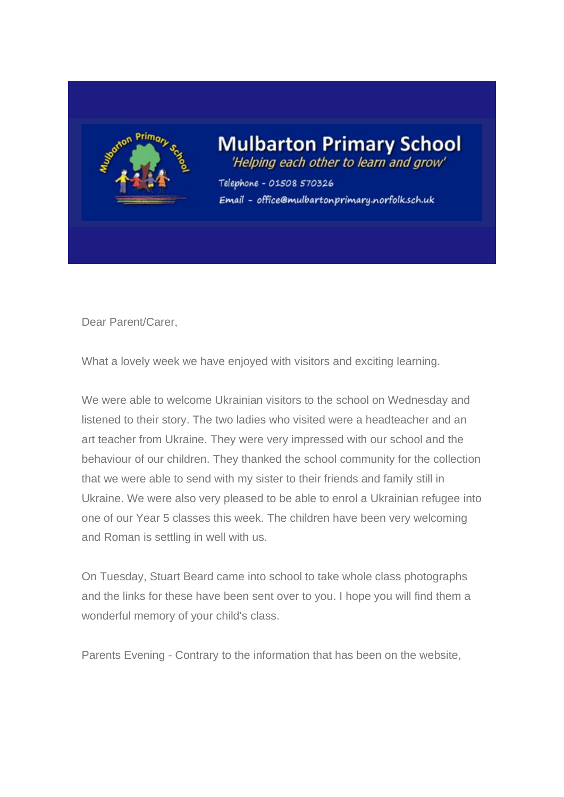

## **Mulbarton Primary School** 'Helping each other to learn and grow'

Telephone - 01508 570326 Email - office@mulbartonprimary.norfolk.sch.uk

Dear Parent/Carer,

What a lovely week we have enjoved with visitors and exciting learning.

We were able to welcome Ukrainian visitors to the school on Wednesday and listened to their story. The two ladies who visited were a headteacher and an art teacher from Ukraine. They were very impressed with our school and the behaviour of our children. They thanked the school community for the collection that we were able to send with my sister to their friends and family still in Ukraine. We were also very pleased to be able to enrol a Ukrainian refugee into one of our Year 5 classes this week. The children have been very welcoming and Roman is settling in well with us.

On Tuesday, Stuart Beard came into school to take whole class photographs and the links for these have been sent over to you. I hope you will find them a wonderful memory of your child's class.

Parents Evening - Contrary to the information that has been on the website,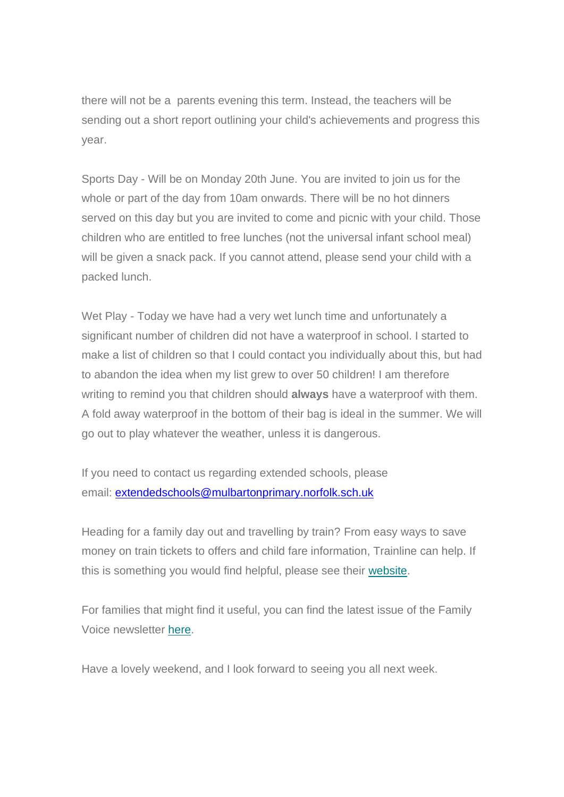there will not be a parents evening this term. Instead, the teachers will be sending out a short report outlining your child's achievements and progress this year.

Sports Day - Will be on Monday 20th June. You are invited to join us for the whole or part of the day from 10am onwards. There will be no hot dinners served on this day but you are invited to come and picnic with your child. Those children who are entitled to free lunches (not the universal infant school meal) will be given a snack pack. If you cannot attend, please send your child with a packed lunch.

Wet Play - Today we have had a very wet lunch time and unfortunately a significant number of children did not have a waterproof in school. I started to make a list of children so that I could contact you individually about this, but had to abandon the idea when my list grew to over 50 children! I am therefore writing to remind you that children should **always** have a waterproof with them. A fold away waterproof in the bottom of their bag is ideal in the summer. We will go out to play whatever the weather, unless it is dangerous.

If you need to contact us regarding extended schools, please email: [extendedschools@mulbartonprimary.norfolk.sch.uk](mailto:extendedschools@mulbartonprimary.norfolk.sch.uk)

Heading for a family day out and travelling by train? From easy ways to save money on train tickets to offers and child fare information, Trainline can help. If this is something you would find helpful, please see their [website.](https://sch.us16.list-manage.com/track/click?u=a0b104861e67868560deacec5&id=9b6c70431b&e=a47d36918a)

For families that might find it useful, you can find the latest issue of the Family Voice newsletter [here.](https://sch.us16.list-manage.com/track/click?u=a0b104861e67868560deacec5&id=500c6ea6ec&e=a47d36918a)

Have a lovely weekend, and I look forward to seeing you all next week.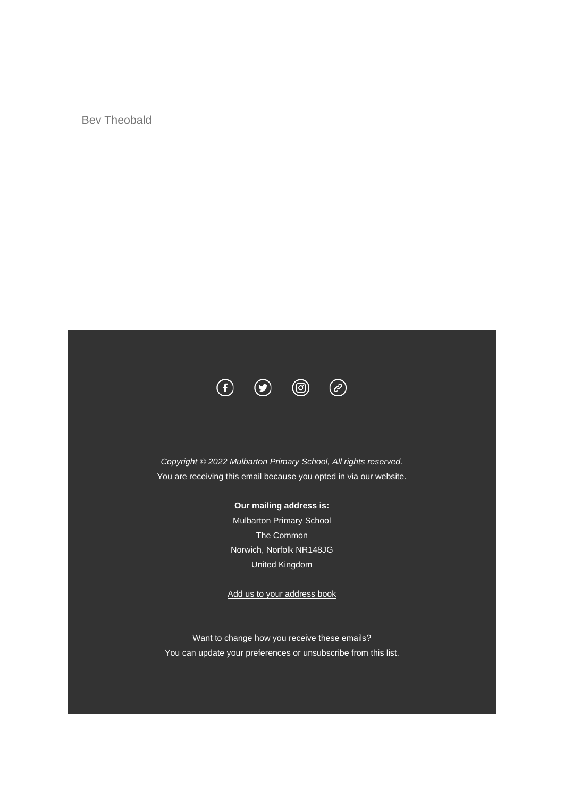Bev Theobald



*Copyright © 2022 Mulbarton Primary School, All rights reserved.* You are receiving this email because you opted in via our website.

## **Our mailing address is:**

Mulbarton Primary School The Common Norwich, Norfolk NR148JG United Kingdom

[Add us to your address book](https://sch.us16.list-manage.com/vcard?u=a0b104861e67868560deacec5&id=691f4483f6)

Want to change how you receive these emails? You can [update your preferences](https://sch.us16.list-manage.com/profile?u=a0b104861e67868560deacec5&id=691f4483f6&e=a47d36918a&c=c849bed826) or [unsubscribe from this list.](https://sch.us16.list-manage.com/unsubscribe?u=a0b104861e67868560deacec5&id=691f4483f6&e=a47d36918a&c=c849bed826)